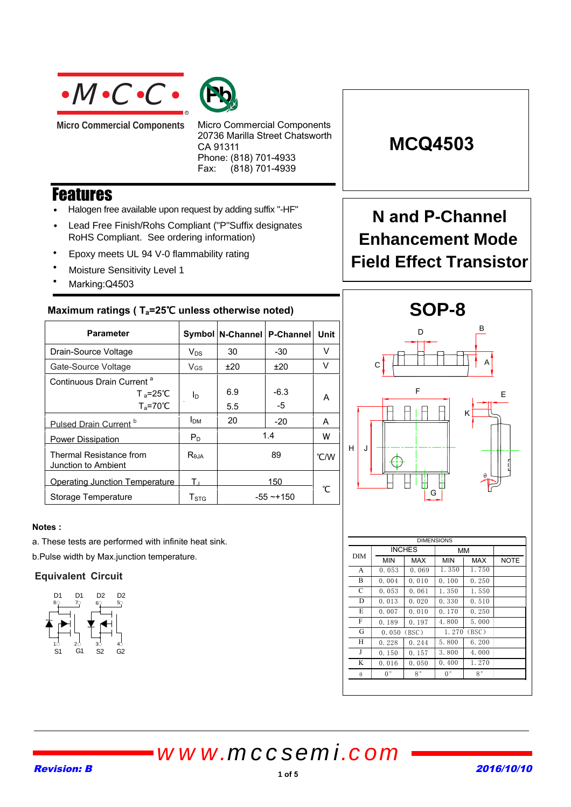



**Micro Commercial Components** 

Micro Commercial Components 20736 Marilla Street Chatsworth CA 91311 Phone: (818) 701-4933 Fax: (818) 701-4939

## **Features**

- Halogen free available upon request by adding suffix "-HF"
- Lead Free Finish/Rohs Compliant ("P"Suffix designates RoHS Compliant. See ordering information)
- Epoxy meets UL 94 V-0 flammability rating
- Moisture Sensitivity Level 1
- Marking:Q4503

### Maximum ratings (T<sub>a</sub>=25℃ unless otherwise noted)

| <b>Parameter</b>                                                                    |                   | Symbol   N-Channel  <br><b>P-Channel</b> |            | Unit |
|-------------------------------------------------------------------------------------|-------------------|------------------------------------------|------------|------|
| Drain-Source Voltage                                                                | $V_{DS}$          | 30<br>-30                                |            | v    |
| Gate-Source Voltage                                                                 | $V_{GS}$          | ±20                                      | ±20        | V    |
| Continuous Drain Current <sup>a</sup><br>$T_a = 25^{\circ}C$<br>$T_a = 70^{\circ}C$ | ΙD                | 6.9<br>5.5                               | -6.3<br>-5 | A    |
| Pulsed Drain Current <sup>b</sup>                                                   | I <sub>DM</sub>   | 20                                       | $-20$      | A    |
| <b>Power Dissipation</b>                                                            | $P_D$             | 1.4                                      |            | w    |
| Thermal Resistance from<br>Junction to Ambient                                      | R <sub>0.1A</sub> | 89                                       |            | °C/W |
| Operating Junction Temperature                                                      | т.                | 150                                      |            | ℃    |
| Storage Temperature                                                                 | T <sub>STG</sub>  | $-55 - +150$                             |            |      |

### **Notes :**

a. These tests are performed with infinite heat sink.

b.Pulse width by Max.junction temperature.

### **Equivalent Circuit**



# **MCQ4503**

## **N and P-Channel Enhancement Mode Field Effect Transistor**



| <b>DIMENSIONS</b> |             |               |             |             |             |
|-------------------|-------------|---------------|-------------|-------------|-------------|
|                   |             | <b>INCHES</b> | мм          |             |             |
| DIM               | <b>MIN</b>  | MAX           | <b>MIN</b>  | MAX         | <b>NOTE</b> |
| A                 | 0.053       | 0.069         | 1.350       | 1.750       |             |
| B                 | 0.004       | 0.010         | 0.100       | 0.250       |             |
| C                 | 0.053       | 0.061         | 1.350       | 1.550       |             |
| D                 | 0.013       | 0.020         | 0.330       | 0.510       |             |
| E                 | 0.007       | 0.010         | 0.170       | 0.250       |             |
| F                 | 0.189       | 0.197         | 4.800       | 5.000       |             |
| G                 | 0.050       | (BSC)         |             | 1.270 (BSC) |             |
| Н                 | 0.228       | 0.244         | 5.800       | 6.200       |             |
| J                 | 0.150       | 0.157         | 3.800       | 4.000       |             |
| K                 | 0.016       | 0.050         | 0.400       | 1.270       |             |
| $\theta$          | $0^{\circ}$ | $8^{\circ}$   | $0^{\circ}$ | $8^{\circ}$ |             |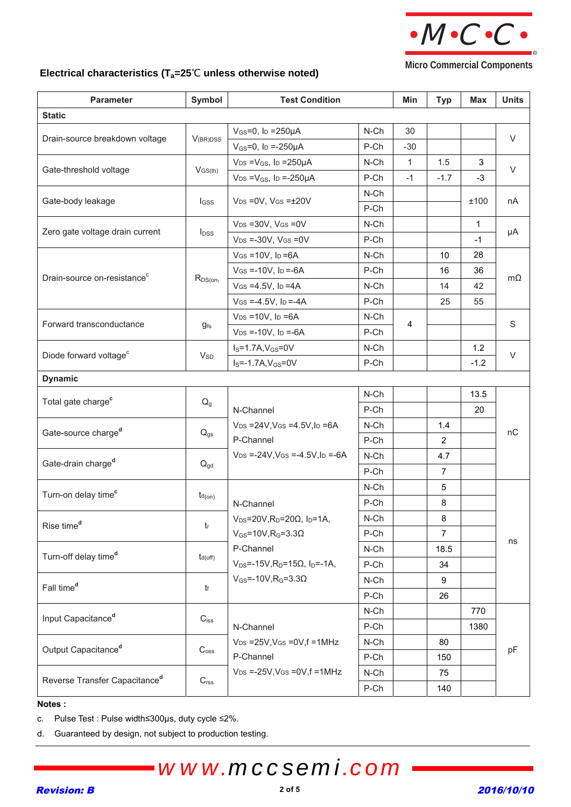

**Micro Commercial Components** 

## **Electrical characteristics (T<sub>a</sub>=25<sup>°</sup>C unless otherwise noted)**

| <b>Parameter</b>                          | Symbol            | <b>Test Condition</b>                                             |         | Min          | <b>Typ</b>     | <b>Max</b>   | <b>Units</b> |  |
|-------------------------------------------|-------------------|-------------------------------------------------------------------|---------|--------------|----------------|--------------|--------------|--|
| <b>Static</b>                             |                   |                                                                   |         |              |                |              |              |  |
| Drain-source breakdown voltage            | $V_{(BR)DSS}$     | $V_{GS} = 0$ , lp = 250 $\mu$ A                                   | $N$ -Ch | 30           |                |              | $\vee$       |  |
|                                           |                   | $V_{GS} = 0$ , I <sub>D</sub> = -250 $\mu$ A                      | P-Ch    | $-30$        |                |              |              |  |
| Gate-threshold voltage                    | $V$ GS(th)        | $V_{DS} = V_{GS}$ , I <sub>D</sub> = 250 $\mu$ A                  | N-Ch    | $\mathbf{1}$ | 1.5            | 3            | $\vee$       |  |
|                                           |                   | $V_{DS} = V_{GS}$ , ID =-250µA                                    | P-Ch    | $-1$         | $-1.7$         | $-3$         |              |  |
| Gate-body leakage                         | <b>I</b> GSS      | $V_{DS} = 0V$ , $V_{GS} = \pm 20V$                                | N-Ch    |              |                |              | nA           |  |
|                                           |                   |                                                                   | P-Ch    |              |                | ±100         |              |  |
| Zero gate voltage drain current           | $I_{DSS}$         | $V_{DS} = 30V$ , $V_{GS} = 0V$                                    | N-Ch    |              |                | $\mathbf{1}$ | μA           |  |
|                                           |                   | $V_{DS} = -30V$ , $V_{GS} = 0V$                                   | P-Ch    |              |                | $-1$         |              |  |
|                                           |                   | $V$ GS = 10V, ID = 6A                                             | N-Ch    |              | 10             | 28           |              |  |
| Drain-source on-resistance <sup>c</sup>   |                   | $V$ GS =-10V, lp =-6A                                             | P-Ch    |              | 16             | 36           |              |  |
|                                           | $R_{DS(on)}$      | $V$ GS = 4.5V, ID = 4A                                            | N-Ch    |              | 14             | 42           | $m\Omega$    |  |
|                                           |                   | $V$ GS =-4.5V, ID =-4A                                            | P-Ch    |              | 25             | 55           |              |  |
|                                           |                   | $V_{DS} = 10V$ , $I_D = 6A$                                       | N-Ch    | 4            |                |              | $\mathbf S$  |  |
| Forward transconductance                  | $g_{\mathsf{fs}}$ | $V_{DS} = -10V$ , $I_D = -6A$                                     | P-Ch    |              |                |              |              |  |
| Diode forward voltage <sup>c</sup>        |                   | $IS=1.7A, VGS=0V$                                                 | N-Ch    |              |                | 1.2          | $\vee$       |  |
|                                           | $V_{SD}$          | $I_S = -1.7A, V_{GS} = 0V$                                        | P-Ch    |              |                | $-1.2$       |              |  |
| <b>Dynamic</b>                            |                   |                                                                   |         |              |                |              |              |  |
| Total gate charge <sup>c</sup>            |                   |                                                                   | N-Ch    |              |                | 13.5         |              |  |
| $Q_g$                                     |                   | N-Channel                                                         | P-Ch    |              |                | 20           |              |  |
| Gate-source charge <sup>d</sup>           | $Q_{gs}$          | N-Ch<br>$V_{DS} = 24V$ , $V_{GS} = 4.5V$ , $I_D = 6A$             |         |              | 1.4            |              | nC           |  |
|                                           |                   | P-Channel                                                         | P-Ch    |              | 2              |              |              |  |
| Gate-drain charge <sup>d</sup>            | $Q_{gd}$          | $V_{DS} = -24V$ , $V_{GS} = -4.5V$ , $I_D = -6A$<br>N-Ch          |         |              | 4.7            |              |              |  |
|                                           |                   |                                                                   | P-Ch    |              | $\overline{7}$ |              |              |  |
| Turn-on delay time <sup>c</sup>           | $td_{(on)}$       |                                                                   | N-Ch    |              | 5              |              |              |  |
|                                           |                   | N-Channel                                                         | P-Ch    |              | 8              |              | ns           |  |
| Rise time <sup>d</sup><br>$t_{\rm r}$     |                   | $V_{DS}$ =20V, R <sub>D</sub> =20Ω, I <sub>D</sub> =1A,           | $N$ -Ch |              | 8              |              |              |  |
|                                           |                   | $V_{GS}$ =10V, R <sub>G</sub> =3.3 $\Omega$                       | P-Ch    |              | $\overline{7}$ |              |              |  |
| Turn-off delay time <sup>d</sup>          | $t_{d(off)}$      | P-Channel                                                         | N-Ch    |              | 18.5           |              |              |  |
|                                           |                   | $V_{DS}$ =-15V, R <sub>D</sub> =15Ω, I <sub>D</sub> =-1A,<br>P-Ch |         |              | 34             |              |              |  |
| Fall time <sup>d</sup>                    | tf                | $V_{GS}$ =-10V, R <sub>G</sub> =3.3 $\Omega$                      | $N$ -Ch |              | 9              |              |              |  |
|                                           |                   |                                                                   | P-Ch    |              | 26             |              |              |  |
| Input Capacitance <sup>d</sup>            |                   | $C_{\text{iss}}$                                                  | $N$ -Ch |              |                | 770          |              |  |
|                                           |                   | P-Ch<br>N-Channel                                                 |         |              |                | 1380         |              |  |
| Output Capacitance <sup>d</sup>           |                   | $V_{DS}$ =25V, VGs =0V, f =1MHz                                   | N-Ch    |              | 80             |              |              |  |
|                                           | $C_{\rm oss}$     | P-Channel                                                         | P-Ch    |              | 150            |              | pF           |  |
| Reverse Transfer Capacitance <sup>d</sup> |                   | $V_{DS}$ =-25V, VGS = 0V, f = 1MHz                                | $N$ -Ch |              | 75             |              |              |  |
|                                           | C <sub>rss</sub>  |                                                                   | P-Ch    |              | 140            |              |              |  |

#### **Notes :**

c. Pulse Test : Pulse width≤300µs, duty cycle ≤2%.

d. Guaranteed by design, not subject to production testing.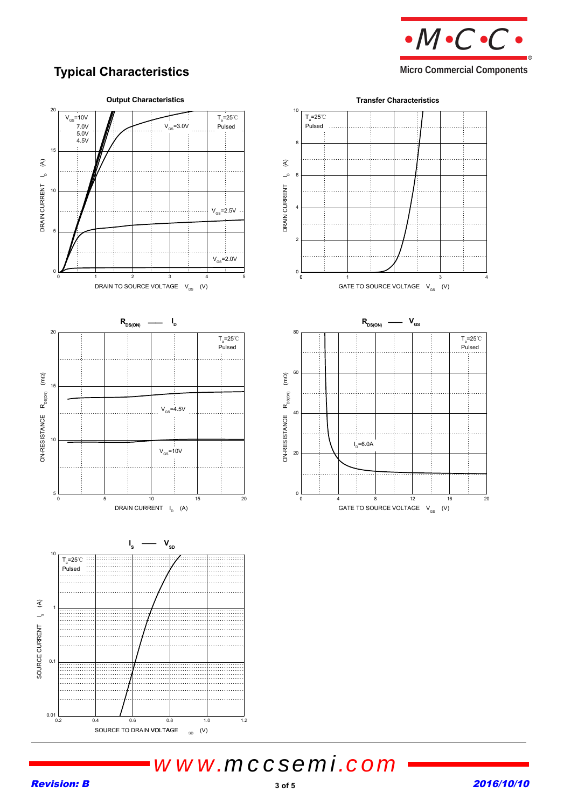

## **Typical Characteristics**

### **Micro Commercial Components**

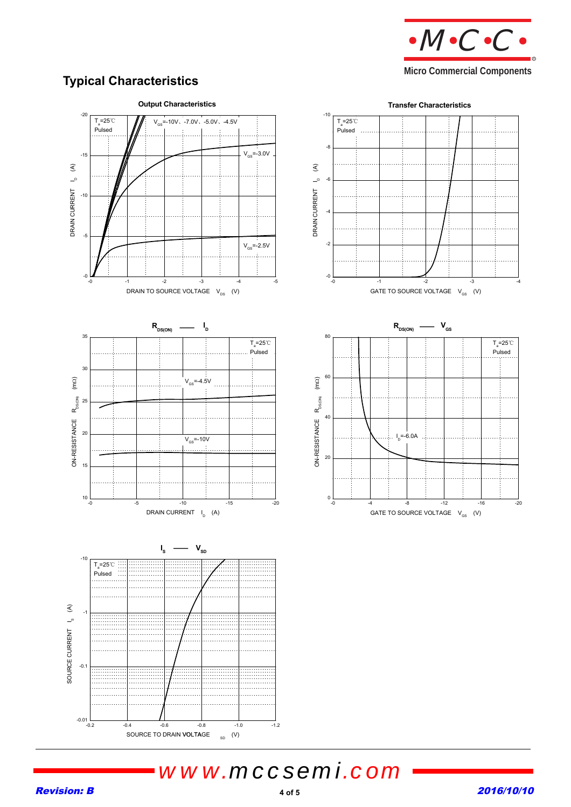

**Micro Commercial Components** 

## **Typical Characteristics**